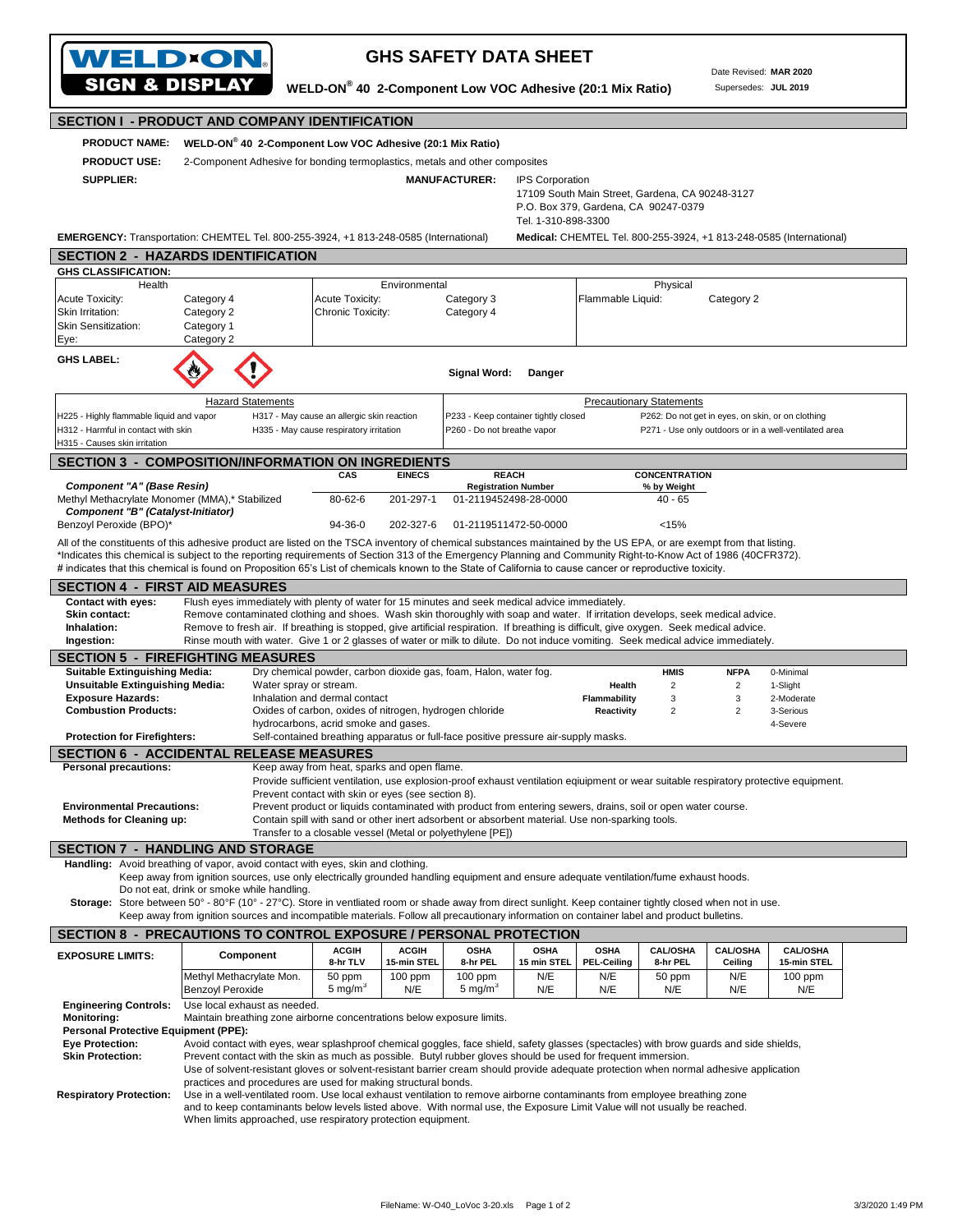| <b>WELD*ON.</b>                                                                                                                                                                                                                                                                                                                                     |                                                                                                                                                                                                                                                                                                                                                                              |                                                                                                                                       |                             | <b>GHS SAFETY DATA SHEET</b>                                        |                            |                                   |                                                   | Date Revised: MAR 2020        |                                                       |  |  |  |
|-----------------------------------------------------------------------------------------------------------------------------------------------------------------------------------------------------------------------------------------------------------------------------------------------------------------------------------------------------|------------------------------------------------------------------------------------------------------------------------------------------------------------------------------------------------------------------------------------------------------------------------------------------------------------------------------------------------------------------------------|---------------------------------------------------------------------------------------------------------------------------------------|-----------------------------|---------------------------------------------------------------------|----------------------------|-----------------------------------|---------------------------------------------------|-------------------------------|-------------------------------------------------------|--|--|--|
| <b>SIGN &amp; DISPLAY</b>                                                                                                                                                                                                                                                                                                                           |                                                                                                                                                                                                                                                                                                                                                                              | WELD-ON® 40 2-Component Low VOC Adhesive (20:1 Mix Ratio)                                                                             |                             |                                                                     |                            |                                   |                                                   | Supersedes: JUL 2019          |                                                       |  |  |  |
| <b>SECTION I - PRODUCT AND COMPANY IDENTIFICATION</b>                                                                                                                                                                                                                                                                                               |                                                                                                                                                                                                                                                                                                                                                                              |                                                                                                                                       |                             |                                                                     |                            |                                   |                                                   |                               |                                                       |  |  |  |
| WELD-ON® 40 2-Component Low VOC Adhesive (20:1 Mix Ratio)<br><b>PRODUCT NAME:</b>                                                                                                                                                                                                                                                                   |                                                                                                                                                                                                                                                                                                                                                                              |                                                                                                                                       |                             |                                                                     |                            |                                   |                                                   |                               |                                                       |  |  |  |
| <b>PRODUCT USE:</b>                                                                                                                                                                                                                                                                                                                                 | 2-Component Adhesive for bonding termoplastics, metals and other composites                                                                                                                                                                                                                                                                                                  |                                                                                                                                       |                             |                                                                     |                            |                                   |                                                   |                               |                                                       |  |  |  |
|                                                                                                                                                                                                                                                                                                                                                     | <b>MANUFACTURER:</b><br><b>SUPPLIER:</b><br><b>IPS Corporation</b><br>17109 South Main Street, Gardena, CA 90248-3127<br>P.O. Box 379, Gardena, CA 90247-0379<br>Tel. 1-310-898-3300                                                                                                                                                                                         |                                                                                                                                       |                             |                                                                     |                            |                                   |                                                   |                               |                                                       |  |  |  |
| EMERGENCY: Transportation: CHEMTEL Tel. 800-255-3924, +1 813-248-0585 (International)<br>Medical: CHEMTEL Tel. 800-255-3924, +1 813-248-0585 (International)<br><b>SECTION 2 - HAZARDS IDENTIFICATION</b>                                                                                                                                           |                                                                                                                                                                                                                                                                                                                                                                              |                                                                                                                                       |                             |                                                                     |                            |                                   |                                                   |                               |                                                       |  |  |  |
| <b>GHS CLASSIFICATION:</b>                                                                                                                                                                                                                                                                                                                          |                                                                                                                                                                                                                                                                                                                                                                              |                                                                                                                                       |                             |                                                                     |                            |                                   |                                                   |                               |                                                       |  |  |  |
| Health<br>Acute Toxicity:<br>Skin Irritation:<br><b>Skin Sensitization:</b><br>Eye:                                                                                                                                                                                                                                                                 | Category 4<br>Category 2<br>Category 1<br>Category 2                                                                                                                                                                                                                                                                                                                         | Acute Toxicity:<br>Chronic Toxicity:                                                                                                  | Environmental               | Category 3<br>Category 4                                            |                            | Flammable Liquid:                 | Physical                                          | Category 2                    |                                                       |  |  |  |
| <b>GHS LABEL:</b>                                                                                                                                                                                                                                                                                                                                   |                                                                                                                                                                                                                                                                                                                                                                              |                                                                                                                                       |                             | Signal Word:                                                        | Danger                     |                                   |                                                   |                               |                                                       |  |  |  |
|                                                                                                                                                                                                                                                                                                                                                     | <b>Hazard Statements</b>                                                                                                                                                                                                                                                                                                                                                     |                                                                                                                                       |                             |                                                                     |                            |                                   | <b>Precautionary Statements</b>                   |                               |                                                       |  |  |  |
| H225 - Highly flammable liquid and vapor<br>H312 - Harmful in contact with skin<br>H315 - Causes skin irritation                                                                                                                                                                                                                                    |                                                                                                                                                                                                                                                                                                                                                                              | H317 - May cause an allergic skin reaction<br>H335 - May cause respiratory irritation                                                 |                             | P233 - Keep container tightly closed<br>P260 - Do not breathe vapor |                            |                                   | P262: Do not get in eyes, on skin, or on clothing |                               | P271 - Use only outdoors or in a well-ventilated area |  |  |  |
|                                                                                                                                                                                                                                                                                                                                                     | <b>SECTION 3 - COMPOSITION/INFORMATION ON INGREDIENTS</b>                                                                                                                                                                                                                                                                                                                    |                                                                                                                                       |                             |                                                                     |                            |                                   |                                                   |                               |                                                       |  |  |  |
| <b>Component "A" (Base Resin)</b>                                                                                                                                                                                                                                                                                                                   |                                                                                                                                                                                                                                                                                                                                                                              | CAS                                                                                                                                   | <b>EINECS</b>               | <b>REACH</b><br><b>Registration Number</b>                          |                            |                                   | <b>CONCENTRATION</b><br>% by Weight               |                               |                                                       |  |  |  |
| Methyl Methacrylate Monomer (MMA),* Stabilized                                                                                                                                                                                                                                                                                                      |                                                                                                                                                                                                                                                                                                                                                                              | 80-62-6                                                                                                                               | 201-297-1                   | 01-2119452498-28-0000                                               |                            |                                   | $40 - 65$                                         |                               |                                                       |  |  |  |
| Component "B" (Catalyst-Initiator)<br>Benzoyl Peroxide (BPO)*                                                                                                                                                                                                                                                                                       |                                                                                                                                                                                                                                                                                                                                                                              | 94-36-0                                                                                                                               | 202-327-6                   | 01-2119511472-50-0000                                               |                            |                                   | < 15%                                             |                               |                                                       |  |  |  |
|                                                                                                                                                                                                                                                                                                                                                     | All of the constituents of this adhesive product are listed on the TSCA inventory of chemical substances maintained by the US EPA, or are exempt from that listing.                                                                                                                                                                                                          |                                                                                                                                       |                             |                                                                     |                            |                                   |                                                   |                               |                                                       |  |  |  |
|                                                                                                                                                                                                                                                                                                                                                     | *Indicates this chemical is subject to the reporting requirements of Section 313 of the Emergency Planning and Community Right-to-Know Act of 1986 (40CFR372).<br># indicates that this chemical is found on Proposition 65's List of chemicals known to the State of California to cause cancer or reproductive toxicity.                                                   |                                                                                                                                       |                             |                                                                     |                            |                                   |                                                   |                               |                                                       |  |  |  |
| <b>SECTION 4 - FIRST AID MEASURES</b>                                                                                                                                                                                                                                                                                                               |                                                                                                                                                                                                                                                                                                                                                                              |                                                                                                                                       |                             |                                                                     |                            |                                   |                                                   |                               |                                                       |  |  |  |
| <b>Contact with eyes:</b><br>Skin contact:<br>Inhalation:                                                                                                                                                                                                                                                                                           | Flush eyes immediately with plenty of water for 15 minutes and seek medical advice immediately.<br>Remove contaminated clothing and shoes. Wash skin thoroughly with soap and water. If irritation develops, seek medical advice.<br>Remove to fresh air. If breathing is stopped, give artificial respiration. If breathing is difficult, give oxygen. Seek medical advice. |                                                                                                                                       |                             |                                                                     |                            |                                   |                                                   |                               |                                                       |  |  |  |
| Ingestion:                                                                                                                                                                                                                                                                                                                                          | Rinse mouth with water. Give 1 or 2 glasses of water or milk to dilute. Do not induce vomiting. Seek medical advice immediately.                                                                                                                                                                                                                                             |                                                                                                                                       |                             |                                                                     |                            |                                   |                                                   |                               |                                                       |  |  |  |
|                                                                                                                                                                                                                                                                                                                                                     | <b>SECTION 5 - FIREFIGHTING MEASURES</b>                                                                                                                                                                                                                                                                                                                                     |                                                                                                                                       |                             |                                                                     |                            |                                   |                                                   |                               |                                                       |  |  |  |
| <b>Suitable Extinguishing Media:</b><br><b>Unsuitable Extinguishing Media:</b>                                                                                                                                                                                                                                                                      | Water spray or stream.                                                                                                                                                                                                                                                                                                                                                       | Dry chemical powder, carbon dioxide gas, foam, Halon, water fog.                                                                      |                             |                                                                     |                            | Health                            | <b>HMIS</b><br>$\overline{c}$                     | <b>NFPA</b><br>$\overline{2}$ | 0-Minimal<br>1-Slight                                 |  |  |  |
| <b>Exposure Hazards:</b>                                                                                                                                                                                                                                                                                                                            |                                                                                                                                                                                                                                                                                                                                                                              | Inhalation and dermal contact                                                                                                         |                             |                                                                     |                            | Flammability                      | 3                                                 | 3                             | 2-Moderate                                            |  |  |  |
| <b>Combustion Products:</b>                                                                                                                                                                                                                                                                                                                         |                                                                                                                                                                                                                                                                                                                                                                              | Oxides of carbon, oxides of nitrogen, hydrogen chloride<br>hydrocarbons, acrid smoke and gases.                                       |                             |                                                                     |                            | Reactivity                        | $\overline{c}$                                    | $\overline{2}$                | 3-Serious<br>4-Severe                                 |  |  |  |
| <b>Protection for Firefighters:</b>                                                                                                                                                                                                                                                                                                                 |                                                                                                                                                                                                                                                                                                                                                                              | Self-contained breathing apparatus or full-face positive pressure air-supply masks.                                                   |                             |                                                                     |                            |                                   |                                                   |                               |                                                       |  |  |  |
| <b>Personal precautions:</b>                                                                                                                                                                                                                                                                                                                        | <b>SECTION 6 - ACCIDENTAL RELEASE MEASURES</b>                                                                                                                                                                                                                                                                                                                               | Keep away from heat, sparks and open flame.                                                                                           |                             |                                                                     |                            |                                   |                                                   |                               |                                                       |  |  |  |
|                                                                                                                                                                                                                                                                                                                                                     |                                                                                                                                                                                                                                                                                                                                                                              | Provide sufficient ventilation, use explosion-proof exhaust ventilation eqiuipment or wear suitable respiratory protective equipment. |                             |                                                                     |                            |                                   |                                                   |                               |                                                       |  |  |  |
| Prevent contact with skin or eyes (see section 8).<br><b>Environmental Precautions:</b><br>Prevent product or liquids contaminated with product from entering sewers, drains, soil or open water course.                                                                                                                                            |                                                                                                                                                                                                                                                                                                                                                                              |                                                                                                                                       |                             |                                                                     |                            |                                   |                                                   |                               |                                                       |  |  |  |
| <b>Methods for Cleaning up:</b><br>Contain spill with sand or other inert adsorbent or absorbent material. Use non-sparking tools.                                                                                                                                                                                                                  |                                                                                                                                                                                                                                                                                                                                                                              |                                                                                                                                       |                             |                                                                     |                            |                                   |                                                   |                               |                                                       |  |  |  |
|                                                                                                                                                                                                                                                                                                                                                     | <b>SECTION 7 - HANDLING AND STORAGE</b>                                                                                                                                                                                                                                                                                                                                      | Transfer to a closable vessel (Metal or polyethylene [PE])                                                                            |                             |                                                                     |                            |                                   |                                                   |                               |                                                       |  |  |  |
|                                                                                                                                                                                                                                                                                                                                                     | Handling: Avoid breathing of vapor, avoid contact with eyes, skin and clothing.                                                                                                                                                                                                                                                                                              |                                                                                                                                       |                             |                                                                     |                            |                                   |                                                   |                               |                                                       |  |  |  |
| Keep away from ignition sources, use only electrically grounded handling equipment and ensure adequate ventilation/fume exhaust hoods.<br>Do not eat, drink or smoke while handling.<br>Storage: Store between 50° - 80°F (10° - 27°C). Store in ventliated room or shade away from direct sunlight. Keep container tightly closed when not in use. |                                                                                                                                                                                                                                                                                                                                                                              |                                                                                                                                       |                             |                                                                     |                            |                                   |                                                   |                               |                                                       |  |  |  |
|                                                                                                                                                                                                                                                                                                                                                     | Keep away from ignition sources and incompatible materials. Follow all precautionary information on container label and product bulletins.                                                                                                                                                                                                                                   |                                                                                                                                       |                             |                                                                     |                            |                                   |                                                   |                               |                                                       |  |  |  |
|                                                                                                                                                                                                                                                                                                                                                     | SECTION 8 - PRECAUTIONS TO CONTROL EXPOSURE / PERSONAL PROTECTION                                                                                                                                                                                                                                                                                                            |                                                                                                                                       |                             |                                                                     |                            |                                   |                                                   |                               |                                                       |  |  |  |
| <b>EXPOSURE LIMITS:</b>                                                                                                                                                                                                                                                                                                                             | Component                                                                                                                                                                                                                                                                                                                                                                    | <b>ACGIH</b><br>8-hr TLV                                                                                                              | <b>ACGIH</b><br>15-min STEL | <b>OSHA</b><br>8-hr PEL                                             | <b>OSHA</b><br>15 min STEL | <b>OSHA</b><br><b>PEL-Ceiling</b> | <b>CAL/OSHA</b><br>8-hr PEL                       | <b>CAL/OSHA</b><br>Ceiling    | <b>CAL/OSHA</b><br>15-min STEL                        |  |  |  |
|                                                                                                                                                                                                                                                                                                                                                     | Methyl Methacrylate Mon.<br><b>Benzoyl Peroxide</b>                                                                                                                                                                                                                                                                                                                          | 50 ppm<br>5 mg/m <sup>3</sup>                                                                                                         | $100$ ppm<br>N/E            | $100$ ppm<br>5 mg/m <sup>3</sup>                                    | N/E<br>N/E                 | N/E<br>N/E                        | 50 ppm<br>N/E                                     | N/E<br>N/E                    | $100$ ppm<br>N/E                                      |  |  |  |
| <b>Engineering Controls:</b>                                                                                                                                                                                                                                                                                                                        | Use local exhaust as needed.                                                                                                                                                                                                                                                                                                                                                 |                                                                                                                                       |                             |                                                                     |                            |                                   |                                                   |                               |                                                       |  |  |  |
| <b>Monitoring:</b>                                                                                                                                                                                                                                                                                                                                  | Maintain breathing zone airborne concentrations below exposure limits.                                                                                                                                                                                                                                                                                                       |                                                                                                                                       |                             |                                                                     |                            |                                   |                                                   |                               |                                                       |  |  |  |
| <b>Eye Protection:</b>                                                                                                                                                                                                                                                                                                                              | Personal Protective Equipment (PPE):<br>Avoid contact with eyes, wear splashproof chemical goggles, face shield, safety glasses (spectacles) with brow guards and side shields,                                                                                                                                                                                              |                                                                                                                                       |                             |                                                                     |                            |                                   |                                                   |                               |                                                       |  |  |  |
| <b>Skin Protection:</b>                                                                                                                                                                                                                                                                                                                             | Prevent contact with the skin as much as possible. Butyl rubber gloves should be used for frequent immersion.                                                                                                                                                                                                                                                                |                                                                                                                                       |                             |                                                                     |                            |                                   |                                                   |                               |                                                       |  |  |  |
| Use of solvent-resistant gloves or solvent-resistant barrier cream should provide adequate protection when normal adhesive application<br>practices and procedures are used for making structural bonds.                                                                                                                                            |                                                                                                                                                                                                                                                                                                                                                                              |                                                                                                                                       |                             |                                                                     |                            |                                   |                                                   |                               |                                                       |  |  |  |
|                                                                                                                                                                                                                                                                                                                                                     |                                                                                                                                                                                                                                                                                                                                                                              |                                                                                                                                       |                             |                                                                     |                            |                                   |                                                   |                               |                                                       |  |  |  |
| <b>Respiratory Protection:</b>                                                                                                                                                                                                                                                                                                                      | Use in a well-ventilated room. Use local exhaust ventilation to remove airborne contaminants from employee breathing zone<br>and to keep contaminants below levels listed above. With normal use, the Exposure Limit Value will not usually be reached.                                                                                                                      |                                                                                                                                       |                             |                                                                     |                            |                                   |                                                   |                               |                                                       |  |  |  |